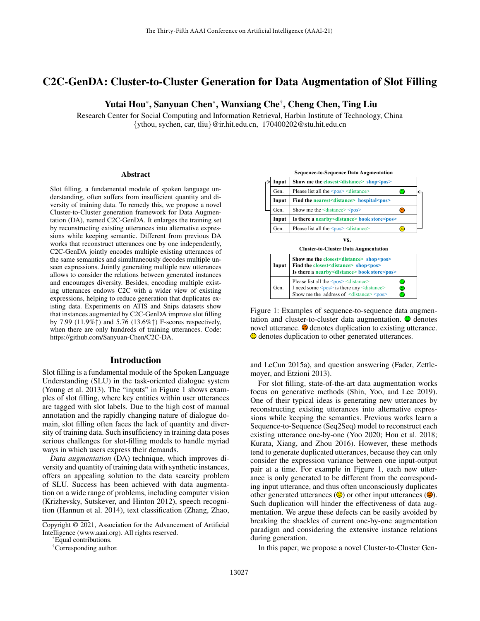# C2C-GenDA: Cluster-to-Cluster Generation for Data Augmentation of Slot Filling

# Yutai Hou\*, Sanyuan Chen\*, Wanxiang Che† , Cheng Chen, Ting Liu

Research Center for Social Computing and Information Retrieval, Harbin Institute of Technology, China {ythou, sychen, car, tliu}@ir.hit.edu.cn, 170400202@stu.hit.edu.cn

#### Abstract

Slot filling, a fundamental module of spoken language understanding, often suffers from insufficient quantity and diversity of training data. To remedy this, we propose a novel Cluster-to-Cluster generation framework for Data Augmentation (DA), named C2C-GenDA. It enlarges the training set by reconstructing existing utterances into alternative expressions while keeping semantic. Different from previous DA works that reconstruct utterances one by one independently, C2C-GenDA jointly encodes multiple existing utterances of the same semantics and simultaneously decodes multiple unseen expressions. Jointly generating multiple new utterances allows to consider the relations between generated instances and encourages diversity. Besides, encoding multiple existing utterances endows C2C with a wider view of existing expressions, helping to reduce generation that duplicates existing data. Experiments on ATIS and Snips datasets show that instances augmented by C2C-GenDA improve slot filling by 7.99 (11.9%↑) and 5.76 (13.6%↑) F-scores respectively, when there are only hundreds of training utterances. Code: https://github.com/Sanyuan-Chen/C2C-DA.

#### Introduction

Slot filling is a fundamental module of the Spoken Language Understanding (SLU) in the task-oriented dialogue system (Young et al. 2013). The "inputs" in Figure 1 shows examples of slot filling, where key entities within user utterances are tagged with slot labels. Due to the high cost of manual annotation and the rapidly changing nature of dialogue domain, slot filling often faces the lack of quantity and diversity of training data. Such insufficiency in training data poses serious challenges for slot-filling models to handle myriad ways in which users express their demands.

*Data augmentation* (DA) technique, which improves diversity and quantity of training data with synthetic instances, offers an appealing solution to the data scarcity problem of SLU. Success has been achieved with data augmentation on a wide range of problems, including computer vision (Krizhevsky, Sutskever, and Hinton 2012), speech recognition (Hannun et al. 2014), text classification (Zhang, Zhao,

\*Equal contributions.



Figure 1: Examples of sequence-to-sequence data augmentation and cluster-to-cluster data augmentation.  $\bullet$  denotes novel utterance.  $\Theta$  denotes duplication to existing utterance.  $\Theta$  denotes duplication to other generated utterances.

and LeCun 2015a), and question answering (Fader, Zettlemoyer, and Etzioni 2013).

For slot filling, state-of-the-art data augmentation works focus on generative methods (Shin, Yoo, and Lee 2019). One of their typical ideas is generating new utterances by reconstructing existing utterances into alternative expressions while keeping the semantics. Previous works learn a Sequence-to-Sequence (Seq2Seq) model to reconstruct each existing utterance one-by-one (Yoo 2020; Hou et al. 2018; Kurata, Xiang, and Zhou 2016). However, these methods tend to generate duplicated utterances, because they can only consider the expression variance between one input-output pair at a time. For example in Figure 1, each new utterance is only generated to be different from the corresponding input utterance, and thus often unconsciously duplicates other generated utterances  $(\bigcirc$  or other input utterances  $(\bigcirc$ . Such duplication will hinder the effectiveness of data augmentation. We argue these defects can be easily avoided by breaking the shackles of current one-by-one augmentation paradigm and considering the extensive instance relations during generation.

In this paper, we propose a novel Cluster-to-Cluster Gen-

Copyright © 2021, Association for the Advancement of Artificial Intelligence (www.aaai.org). All rights reserved.

<sup>†</sup>Corresponding author.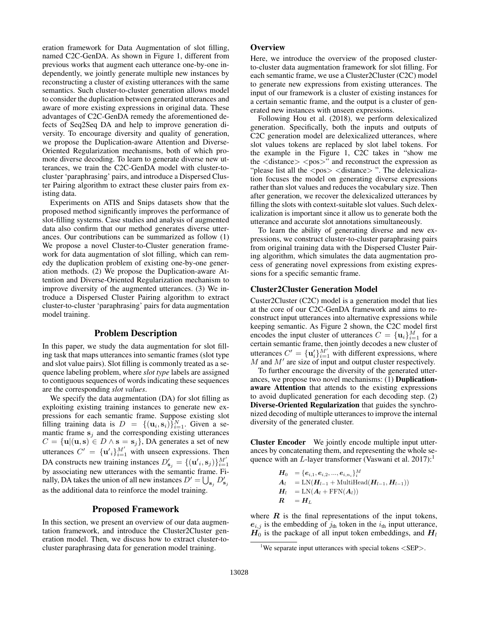eration framework for Data Augmentation of slot filling, named C2C-GenDA. As shown in Figure 1, different from previous works that augment each utterance one-by-one independently, we jointly generate multiple new instances by reconstructing a cluster of existing utterances with the same semantics. Such cluster-to-cluster generation allows model to consider the duplication between generated utterances and aware of more existing expressions in original data. These advantages of C2C-GenDA remedy the aforementioned defects of Seq2Seq DA and help to improve generation diversity. To encourage diversity and quality of generation, we propose the Duplication-aware Attention and Diverse-Oriented Regularization mechanisms, both of which promote diverse decoding. To learn to generate diverse new utterances, we train the C2C-GenDA model with cluster-tocluster 'paraphrasing' pairs, and introduce a Dispersed Cluster Pairing algorithm to extract these cluster pairs from existing data.

Experiments on ATIS and Snips datasets show that the proposed method significantly improves the performance of slot-filling systems. Case studies and analysis of augmented data also confirm that our method generates diverse utterances. Our contributions can be summarized as follow (1) We propose a novel Cluster-to-Cluster generation framework for data augmentation of slot filling, which can remedy the duplication problem of existing one-by-one generation methods. (2) We propose the Duplication-aware Attention and Diverse-Oriented Regularization mechanism to improve diversity of the augmented utterances. (3) We introduce a Dispersed Cluster Pairing algorithm to extract cluster-to-cluster 'paraphrasing' pairs for data augmentation model training.

## Problem Description

In this paper, we study the data augmentation for slot filling task that maps utterances into semantic frames (slot type and slot value pairs). Slot filling is commonly treated as a sequence labeling problem, where *slot type* labels are assigned to contiguous sequences of words indicating these sequences are the corresponding *slot values*.

We specify the data augmentation (DA) for slot filling as exploiting existing training instances to generate new expressions for each semantic frame. Suppose existing slot filling training data is  $D = \{(\mathbf{u}_i, \mathbf{s}_i)\}_{i=1}^N$ . Given a semantic frame  $s_i$  and the corresponding existing utterances  $C = {\mathbf{u} | (\mathbf{u}, \mathbf{s}) \in D \wedge \mathbf{s} = \mathbf{s}_j}$ , DA generates a set of new utterances  $C' = {\mathbf{u}'_i}_{i=1}^M$  with unseen expressions. Then DA constructs new training instances  $D'_{s_j} = \{(\mathbf{u}'_i, \mathbf{s}_j)\}_{i=1}^{M'}$ by associating new utterances with the semantic frame. Finally, DA takes the union of all new instances  $D' = \bigcup_{s_j} D'_{s_j}$ as the additional data to reinforce the model training.

# Proposed Framework

In this section, we present an overview of our data augmentation framework, and introduce the Cluster2Cluster generation model. Then, we discuss how to extract cluster-tocluster paraphrasing data for generation model training.

## **Overview**

Here, we introduce the overview of the proposed clusterto-cluster data augmentation framework for slot filling. For each semantic frame, we use a Cluster2Cluster (C2C) model to generate new expressions from existing utterances. The input of our framework is a cluster of existing instances for a certain semantic frame, and the output is a cluster of generated new instances with unseen expressions.

Following Hou et al. (2018), we perform delexicalized generation. Specifically, both the inputs and outputs of C2C generation model are delexicalized utterances, where slot values tokens are replaced by slot label tokens. For the example in the Figure 1, C2C takes in "show me the  $\langle$  distance $\rangle$   $\langle$  pos $\rangle$ " and reconstruct the expression as "please list all the  $<$ pos $>$   $<$ distance $>$ ". The delexicalization focuses the model on generating diverse expressions rather than slot values and reduces the vocabulary size. Then after generation, we recover the delexicalized utterances by filling the slots with context-suitable slot values. Such delexicalization is important since it allow us to generate both the utterance and accurate slot annotations simultaneously.

To learn the ability of generating diverse and new expressions, we construct cluster-to-cluster paraphrasing pairs from original training data with the Dispersed Cluster Pairing algorithm, which simulates the data augmentation process of generating novel expressions from existing expressions for a specific semantic frame.

#### Cluster2Cluster Generation Model

Custer2Cluster (C2C) model is a generation model that lies at the core of our C2C-GenDA framework and aims to reconstruct input utterances into alternative expressions while keeping semantic. As Figure 2 shown, the C2C model first encodes the input cluster of utterances  $C = {\mathbf{u}_i}_{i=1}^M$  for a certain semantic frame, then jointly decodes a new cluster of utterances  $C' = {\{\mathbf{u}'_i\}}_{i=1}^{M'}$  with different expressions, where  $M$  and  $M'$  are size of input and output cluster respectively.

To further encourage the diversity of the generated utterances, we propose two novel mechanisms: (1) Duplicationaware Attention that attends to the existing expressions to avoid duplicated generation for each decoding step. (2) Diverse-Oriented Regularization that guides the synchronized decoding of multiple utterances to improve the internal diversity of the generated cluster.

Cluster Encoder We jointly encode multiple input utterances by concatenating them, and representing the whole sequence with an L-layer transformer (Vaswani et al.  $2017$ ):<sup>1</sup>

$$
H_0 = {e_{i,1}, e_{i,2}, ..., e_{i,n_i}}_1^M
$$
  
\n
$$
A_l = LN(H_{l-1} + MultiHead(H_{l-1}, H_{l-1}))
$$
  
\n
$$
H_l = LN(A_l + FFN(A_l))
$$
  
\n
$$
R = H_L
$$

where  $R$  is the final representations of the input tokens,  $e_{i,j}$  is the embedding of  $j_{th}$  token in the  $i_{th}$  input utterance,  $H_0$  is the package of all input token embeddings, and  $H_l$ 

<sup>&</sup>lt;sup>1</sup>We separate input utterances with special tokens  $\langle$ SEP $>$ .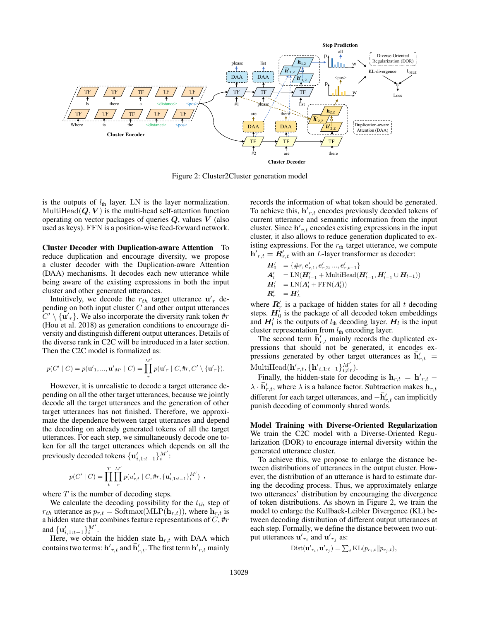

Figure 2: Cluster2Cluster generation model

is the outputs of  $l_{\text{th}}$  layer. LN is the layer normalization. MultiHead $(Q, V)$  is the multi-head self-attention function operating on vector packages of queries  $Q$ , values  $V$  (also used as keys). FFN is a position-wise feed-forward network.

Cluster Decoder with Duplication-aware Attention To reduce duplication and encourage diversity, we propose a cluster decoder with the Duplication-aware Attention (DAA) mechanisms. It decodes each new utterance while being aware of the existing expressions in both the input cluster and other generated utterances.

Intuitively, we decode the  $r_{th}$  target utterance  $\mathbf{u}'_r$  depending on both input cluster  $C$  and other output utterances  $C' \setminus \{ \mathbf{u}'_r \}.$  We also incorporate the diversity rank token #r (Hou et al. 2018) as generation conditions to encourage diversity and distinguish different output utterances. Details of the diverse rank in C2C will be introduced in a later section. Then the C2C model is formalized as:

$$
p(C' | C) = p(\mathbf{u'}_1, ..., \mathbf{u'}_{M'} | C) = \prod_r^{M'} p(\mathbf{u'}_r | C, \text{#r}, C' \setminus {\mathbf{u'}_r} ).
$$

However, it is unrealistic to decode a target utterance depending on all the other target utterances, because we jointly decode all the target utterances and the generation of other target utterances has not finished. Therefore, we approximate the dependence between target utterances and depend the decoding on already generated tokens of all the target utterances. For each step, we simultaneously decode one token for all the target utterances which depends on all the previously decoded tokens  $\{\mathbf u'_{i,1:t-1}\}_{i}^{M'}$ :

$$
p(C' \mid C) = \prod_t^T \prod_{r}^{M'} p(u'_{r,t} \mid C, \text{\#}r, \{\mathbf{u}'_{i,1:t-1}\}_i^{M'}) ,
$$

where  $T$  is the number of decoding steps.

We calculate the decoding possibility for the  $t_{th}$  step of  $r_{th}$  utterance as  $p_{r,t} = \text{Softmax}(\text{MLP}(\mathbf{h}_{r,t}))$ , where  $\mathbf{h}_{r,t}$  is a hidden state that combines feature representations of  $C$ , #r and  ${\{\mathbf u'_{i,1:t-1}\}}_i^{M'}$ .

Here, we obtain the hidden state  $h_{r,t}$  with DAA which contains two terms:  $\mathbf{h'}_{r,t}$  and  $\mathbf{\bar{h}}'_{r,t}.$  The first term  $\mathbf{h'}_{r,t}$  mainly

records the information of what token should be generated. To achieve this,  $h'_{r,t}$  encodes previously decoded tokens of current utterance and semantic information from the input cluster. Since  $h'_{r,t}$  encodes existing expressions in the input cluster, it also allows to reduce generation duplicated to existing expressions. For the  $r<sub>th</sub>$  target utterance, we compute  $h'_{r,t} = \hat{R}'_{r,t}$  with an *L*-layer transformer as decoder:

$$
\begin{array}{ll} \pmb{H}_0' & = \{\#r, \pmb{e}_{r,1}', \pmb{e}_{r,2}',...,\pmb{e}_{r,t-1}'\} \\ \pmb{A}_l' & = \text{LN}(\pmb{H}_{l-1}' + \text{MultiHead}(\pmb{H}_{l-1}', \pmb{H}_{l-1}' \cup \pmb{H}_{l-1})) \\ \pmb{H}_l' & = \text{LN}(\pmb{A}_l' + \text{FFN}(\pmb{A}_l')) \\ \pmb{R}_r' & = \pmb{H}_L' \end{array}
$$

where  $R'_r$  is a package of hidden states for all t decoding steps.  $H_0^i$  is the package of all decoded token embeddings and  $H_l'$  is the outputs of  $l_{\text{th}}$  decoding layer.  $H_l$  is the input cluster representation from  $l_{\text{th}}$  encoding layer.

The second term  $\overline{\mathbf{h}}'_{r,t}$  mainly records the duplicated expressions that should not be generated, it encodes expressions generated by other target utterances as  $\overline{\mathbf{h}}'_{r,t}$  = MultiHead( $\mathbf{h'}_{r,t}$ , { $\mathbf{h'}_{i,1:t-1}$ } $_{i\neq r}^{M'}$ ).

Finally, the hidden-state for decoding is  $h_{r,t} = h'_{r,t}$  –  $\lambda \cdot \bar{\mathbf{h}}'_{r,t}$ , where  $\lambda$  is a balance factor. Subtraction makes  $\mathbf{h}_{r,t}$ different for each target utterances, and  $-\bar{\mathbf{h}}'_{r,t}$  can implicitly punish decoding of commonly shared words.

Model Training with Diverse-Oriented Regularization We train the C2C model with a Diverse-Oriented Regularization (DOR) to encourage internal diversity within the generated utterance cluster.

To achieve this, we propose to enlarge the distance between distributions of utterances in the output cluster. However, the distribution of an utterance is hard to estimate during the decoding process. Thus, we approximately enlarge two utterances' distribution by encouraging the divergence of token distributions. As shown in Figure 2, we train the model to enlarge the Kullback-Leibler Divergence (KL) between decoding distribution of different output utterances at each step. Formally, we define the distance between two output utterances  $\mathbf{u'}_{r_i}$  and  $\mathbf{u'}_{r_j}$  as:

$$
Dist(\mathbf{u'}_{r_i}, \mathbf{u'}_{r_j}) = \sum_{t} \text{KL}(p_{r_i,t} || p_{r_j,t}),
$$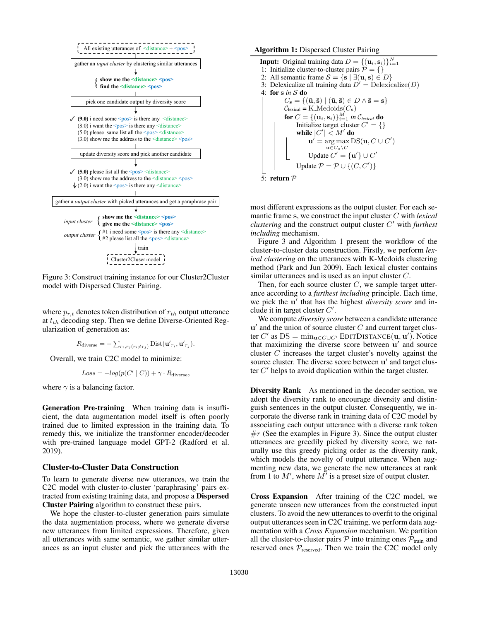

Figure 3: Construct training instance for our Cluster2Cluster model with Dispersed Cluster Pairing.

where  $p_{r,t}$  denotes token distribution of  $r_{th}$  output utterance at  $t_{th}$  decoding step. Then we define Diverse-Oriented Regularization of generation as:

$$
R_{\text{diverse}} = -\sum_{r_i, r_j(r_i \neq r_j)} \text{Dist}(\mathbf{u'}_{r_i}, \mathbf{u'}_{r_j}).
$$

Overall, we train C2C model to minimize:

$$
Loss = -log(p(C' | C)) + \gamma \cdot R_{\text{diverse}},
$$

where  $\gamma$  is a balancing factor.

Generation Pre-training When training data is insufficient, the data augmentation model itself is often poorly trained due to limited expression in the training data. To remedy this, we initialize the transformer encoder/decoder with pre-trained language model GPT-2 (Radford et al. 2019).

#### Cluster-to-Cluster Data Construction

To learn to generate diverse new utterances, we train the C2C model with cluster-to-cluster 'paraphrasing' pairs extracted from existing training data, and propose a Dispersed Cluster Pairing algorithm to construct these pairs.

We hope the cluster-to-cluster generation pairs simulate the data augmentation process, where we generate diverse new utterances from limited expressions. Therefore, given all utterances with same semantic, we gather similar utterances as an input cluster and pick the utterances with the

**Algorithm 1:** Dispersed Cluster Pairing  
\n**Input:** Original training data 
$$
D = \{(u_i, s_i)\}_{i=1}^N
$$
  
\n1: Initialize cluster-to-cluster pairs  $\mathcal{P} = \{\}$   
\n2: All semantic frame  $S = \{s | \exists (u, s) \in D\}$   
\n3: Delexicalize all training data  $D' = \text{Delexicalize}(D)$   
\n4: **for** s *in* S **do**  
\n $C_s = \{(\tilde{u}, \tilde{s}) | (\tilde{u}, \tilde{s}) \in D \land \tilde{s} = s\}$   
\n $C_{\text{lexical}} = \text{K-Medoids}(C_s)$   
\n**for**  $C = \{(u_i, s_i)\}_{i=1}^M$  *in*  $C_{\text{lexical}}$  **do**  
\n**Initialize target cluster**  $C' = \{\}$   
\n**while**  $|C'| < M'$  **do**  
\n $u' = \arg \max_{u \in C_s \setminus C} \text{Update } C' = \{u'\} \cup C'$   
\n $Update \mathcal{P} = \mathcal{P} \cup \{(C, C')\}$   
\n5: **return**  $\mathcal{P}$ 

most different expressions as the output cluster. For each semantic frame s, we construct the input cluster C with *lexical clustering* and the construct output cluster C <sup>0</sup> with *furthest including* mechanism.

Figure 3 and Algorithm 1 present the workflow of the cluster-to-cluster data construction. Firstly, we perform *lexical clustering* on the utterances with K-Medoids clustering method (Park and Jun 2009). Each lexical cluster contains similar utterances and is used as an input cluster C.

Then, for each source cluster  $C$ , we sample target utterance according to a *furthest including* principle. Each time, we pick the u' that has the highest *diversity score* and include it in target cluster  $C'$ .

We compute *diversity score* between a candidate utterance  $\mathbf{u}'$  and the union of source cluster  $C$  and current target cluster C' as  $DS = min_{\mathbf{u} \in C \cup C'}$  EDITDISTANCE $(\mathbf{u}, \mathbf{u}')$ . Notice that maximizing the diverse score between  $\mathbf{u}'$  and source cluster C increases the target cluster's novelty against the source cluster. The diverse score between u' and target cluster  $C'$  helps to avoid duplication within the target cluster.

Diversity Rank As mentioned in the decoder section, we adopt the diversity rank to encourage diversity and distinguish sentences in the output cluster. Consequently, we incorporate the diverse rank in training data of C2C model by associating each output utterance with a diverse rank token  $\#r$  (See the examples in Figure 3). Since the output cluster utterances are greedily picked by diversity score, we naturally use this greedy picking order as the diversity rank, which models the novelty of output utterance. When augmenting new data, we generate the new utterances at rank from 1 to  $M'$ , where  $M'$  is a preset size of output cluster.

Cross Expansion After training of the C2C model, we generate unseen new utterances from the constructed input clusters. To avoid the new utterances to overfit to the original output utterances seen in C2C training, we perform data augmentation with a *Cross Expansion* mechanism. We partition all the cluster-to-cluster pairs  $P$  into training ones  $P_{\text{train}}$  and reserved ones  $P_{\text{reseved}}$ . Then we train the C2C model only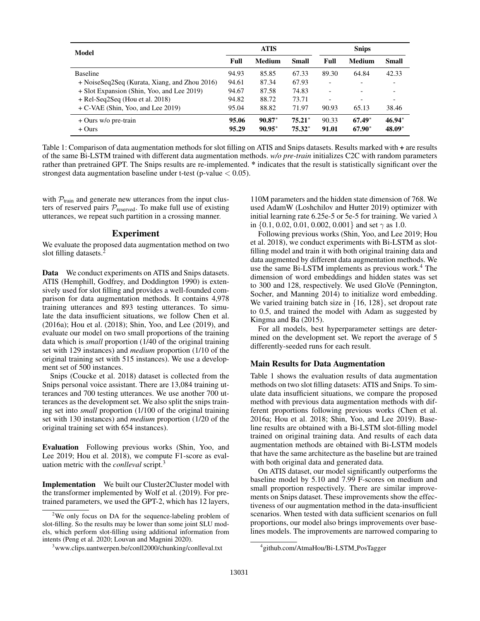| Model                                         |       | <b>ATIS</b>   |          |       | <b>Snips</b> |              |  |
|-----------------------------------------------|-------|---------------|----------|-------|--------------|--------------|--|
|                                               | Full  | <b>Medium</b> | Small    | Full  | Medium       | <b>Small</b> |  |
| <b>Baseline</b>                               | 94.93 | 85.85         | 67.33    | 89.30 | 64.84        | 42.33        |  |
| + NoiseSeq2Seq (Kurata, Xiang, and Zhou 2016) | 94.61 | 87.34         | 67.93    |       |              |              |  |
| + Slot Expansion (Shin, Yoo, and Lee 2019)    | 94.67 | 87.58         | 74.83    |       |              |              |  |
| $+$ Rel-Seq2Seq (Hou et al. 2018)             | 94.82 | 88.72         | 73.71    |       |              |              |  |
| $+ C$ -VAE (Shin, Yoo, and Lee 2019)          | 95.04 | 88.82         | 71.97    | 90.93 | 65.13        | 38.46        |  |
| $+$ Ours w/o pre-train                        | 95.06 | $90.87*$      | $75.21*$ | 90.33 | $67.49*$     | $46.94*$     |  |
| $+$ Ours                                      | 95.29 | $90.95*$      | $75.32*$ | 91.01 | $67.90*$     | $48.09*$     |  |

Table 1: Comparison of data augmentation methods for slot filling on ATIS and Snips datasets. Results marked with + are results of the same Bi-LSTM trained with different data augmentation methods. *w/o pre-train* initializes C2C with random parameters rather than pretrained GPT. The Snips results are re-implemented. \* indicates that the result is statistically significant over the strongest data augmentation baseline under t-test (p-value  $< 0.05$ ).

with  $P_{\text{train}}$  and generate new utterances from the input clusters of reserved pairs  $P_{\text{reserved}}$ . To make full use of existing utterances, we repeat such partition in a crossing manner.

## Experiment

We evaluate the proposed data augmentation method on two slot filling datasets.<sup>2</sup>

Data We conduct experiments on ATIS and Snips datasets. ATIS (Hemphill, Godfrey, and Doddington 1990) is extensively used for slot filling and provides a well-founded comparison for data augmentation methods. It contains 4,978 training utterances and 893 testing utterances. To simulate the data insufficient situations, we follow Chen et al. (2016a); Hou et al. (2018); Shin, Yoo, and Lee (2019), and evaluate our model on two small proportions of the training data which is *small* proportion (1/40 of the original training set with 129 instances) and *medium* proportion (1/10 of the original training set with 515 instances). We use a development set of 500 instances.

Snips (Coucke et al. 2018) dataset is collected from the Snips personal voice assistant. There are 13,084 training utterances and 700 testing utterances. We use another 700 utterances as the development set. We also split the snips training set into *small* proportion (1/100 of the original training set with 130 instances) and *medium* proportion (1/20 of the original training set with 654 instances).

Evaluation Following previous works (Shin, Yoo, and Lee 2019; Hou et al. 2018), we compute F1-score as evaluation metric with the *conlleval* script.<sup>3</sup>

Implementation We built our Cluster2Cluster model with the transformer implemented by Wolf et al. (2019). For pretrained parameters, we used the GPT-2, which has 12 layers,

110M parameters and the hidden state dimension of 768. We used AdamW (Loshchilov and Hutter 2019) optimizer with initial learning rate 6.25e-5 or 5e-5 for training. We varied  $\lambda$ in  $\{0.1, 0.02, 0.01, 0.002, 0.001\}$  and set  $\gamma$  as 1.0.

Following previous works (Shin, Yoo, and Lee 2019; Hou et al. 2018), we conduct experiments with Bi-LSTM as slotfilling model and train it with both original training data and data augmented by different data augmentation methods. We use the same Bi-LSTM implements as previous work.<sup>4</sup> The dimension of word embeddings and hidden states was set to 300 and 128, respectively. We used GloVe (Pennington, Socher, and Manning 2014) to initialize word embedding. We varied training batch size in  $\{16, 128\}$ , set dropout rate to 0.5, and trained the model with Adam as suggested by Kingma and Ba (2015).

For all models, best hyperparameter settings are determined on the development set. We report the average of 5 differently-seeded runs for each result.

#### Main Results for Data Augmentation

Table 1 shows the evaluation results of data augmentation methods on two slot filling datasets: ATIS and Snips. To simulate data insufficient situations, we compare the proposed method with previous data augmentation methods with different proportions following previous works (Chen et al. 2016a; Hou et al. 2018; Shin, Yoo, and Lee 2019). Baseline results are obtained with a Bi-LSTM slot-filling model trained on original training data. And results of each data augmentation methods are obtained with Bi-LSTM models that have the same architecture as the baseline but are trained with both original data and generated data.

On ATIS dataset, our model significantly outperforms the baseline model by 5.10 and 7.99 F-scores on medium and small proportion respectively. There are similar improvements on Snips dataset. These improvements show the effectiveness of our augmentation method in the data-insufficient scenarios. When tested with data sufficient scenarios on full proportions, our model also brings improvements over baselines models. The improvements are narrowed comparing to

<sup>2</sup>We only focus on DA for the sequence-labeling problem of slot-filling. So the results may be lower than some joint SLU models, which perform slot-filling using additional information from intents (Peng et al. 2020; Louvan and Magnini 2020).

<sup>3</sup>www.clips.uantwerpen.be/conll2000/chunking/conlleval.txt

<sup>4</sup> github.com/AtmaHou/Bi-LSTM PosTagger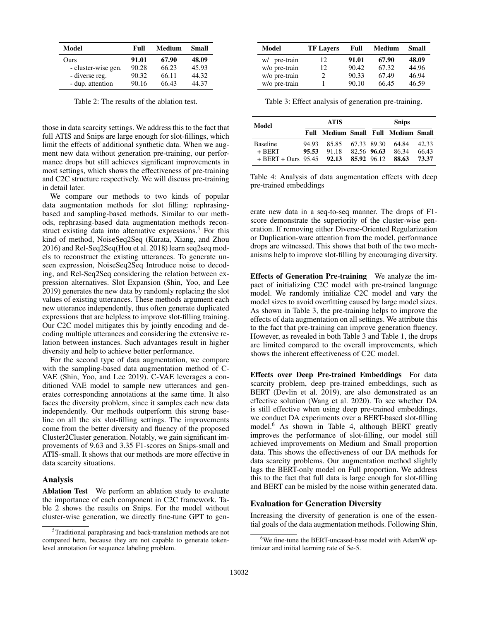| Model               | Full  | Medium | Small |
|---------------------|-------|--------|-------|
| Ours                | 91.01 | 67.90  | 48.09 |
| - cluster-wise gen. | 90.28 | 66.23  | 45.93 |
| - diverse reg.      | 90.32 | 66.11  | 44.32 |
| - dup. attention    | 90.16 | 66.43  | 44.37 |

Table 2: The results of the ablation test.

those in data scarcity settings. We address this to the fact that full ATIS and Snips are large enough for slot-fillings, which limit the effects of additional synthetic data. When we augment new data without generation pre-training, our performance drops but still achieves significant improvements in most settings, which shows the effectiveness of pre-training and C2C structure respectively. We will discuss pre-training in detail later.

We compare our methods to two kinds of popular data augmentation methods for slot filling: rephrasingbased and sampling-based methods. Similar to our methods, rephrasing-based data augmentation methods reconstruct existing data into alternative expressions.<sup>5</sup> For this kind of method, NoiseSeq2Seq (Kurata, Xiang, and Zhou 2016) and Rel-Seq2Seq(Hou et al. 2018) learn seq2seq models to reconstruct the existing utterances. To generate unseen expression, NoiseSeq2Seq Introduce noise to decoding, and Rel-Seq2Seq considering the relation between expression alternatives. Slot Expansion (Shin, Yoo, and Lee 2019) generates the new data by randomly replacing the slot values of existing utterances. These methods argument each new utterance independently, thus often generate duplicated expressions that are helpless to improve slot-filling training. Our C2C model mitigates this by jointly encoding and decoding multiple utterances and considering the extensive relation between instances. Such advantages result in higher diversity and help to achieve better performance.

For the second type of data augmentation, we compare with the sampling-based data augmentation method of C-VAE (Shin, Yoo, and Lee 2019). C-VAE leverages a conditioned VAE model to sample new utterances and generates corresponding annotations at the same time. It also faces the diversity problem, since it samples each new data independently. Our methods outperform this strong baseline on all the six slot-filling settings. The improvements come from the better diversity and fluency of the proposed Cluster2Cluster generation. Notably, we gain significant improvements of 9.63 and 3.35 F1-scores on Snips-small and ATIS-small. It shows that our methods are more effective in data scarcity situations.

#### Analysis

Ablation Test We perform an ablation study to evaluate the importance of each component in C2C framework. Table 2 shows the results on Snips. For the model without cluster-wise generation, we directly fine-tune GPT to gen-

| Model         | <b>TF Lavers</b> | Full  | Medium | <b>Small</b> |
|---------------|------------------|-------|--------|--------------|
| w/ pre-train  | 12.              | 91.01 | 67.90  | 48.09        |
| w/o pre-train | 12               | 90.42 | 67.32  | 44.96        |
| w/o pre-train | 2                | 90.33 | 67.49  | 46.94        |
| w/o pre-train |                  | 90.10 | 66.45  | 46.59        |

Table 3: Effect analysis of generation pre-training.

| Model                       | ATIS  |                   |             | <b>Snips</b> |                                |       |
|-----------------------------|-------|-------------------|-------------|--------------|--------------------------------|-------|
|                             | Full  |                   |             |              | Medium Small Full Medium Small |       |
| <b>Baseline</b>             | 94.93 | 85.85 67.33 89.30 |             |              | 64.84                          | 42.33 |
| $+$ BERT                    | 95.53 | 91.18             | 82.56 96.63 |              | 86.34                          | 66.43 |
| $+$ BERT + Ours 95.45 92.13 |       |                   | 85.92 96.12 |              | 88.63                          | 73.37 |

Table 4: Analysis of data augmentation effects with deep pre-trained embeddings

erate new data in a seq-to-seq manner. The drops of F1 score demonstrate the superiority of the cluster-wise generation. If removing either Diverse-Oriented Regularization or Duplication-ware attention from the model, performance drops are witnessed. This shows that both of the two mechanisms help to improve slot-filling by encouraging diversity.

Effects of Generation Pre-training We analyze the impact of initializing C2C model with pre-trained language model. We randomly initialize C2C model and vary the model sizes to avoid overfitting caused by large model sizes. As shown in Table 3, the pre-training helps to improve the effects of data augmentation on all settings. We attribute this to the fact that pre-training can improve generation fluency. However, as revealed in both Table 3 and Table 1, the drops are limited compared to the overall improvements, which shows the inherent effectiveness of C2C model.

Effects over Deep Pre-trained Embeddings For data scarcity problem, deep pre-trained embeddings, such as BERT (Devlin et al. 2019), are also demonstrated as an effective solution (Wang et al. 2020). To see whether DA is still effective when using deep pre-trained embeddings, we conduct DA experiments over a BERT-based slot-filling model.<sup>6</sup> As shown in Table 4, although BERT greatly improves the performance of slot-filling, our model still achieved improvements on Medium and Small proportion data. This shows the effectiveness of our DA methods for data scarcity problems. Our augmentation method slightly lags the BERT-only model on Full proportion. We address this to the fact that full data is large enough for slot-filling and BERT can be misled by the noise within generated data.

## Evaluation for Generation Diversity

Increasing the diversity of generation is one of the essential goals of the data augmentation methods. Following Shin,

<sup>&</sup>lt;sup>5</sup>Traditional paraphrasing and back-translation methods are not compared here, because they are not capable to generate tokenlevel annotation for sequence labeling problem.

<sup>6</sup>We fine-tune the BERT-uncased-base model with AdamW optimizer and initial learning rate of 5e-5.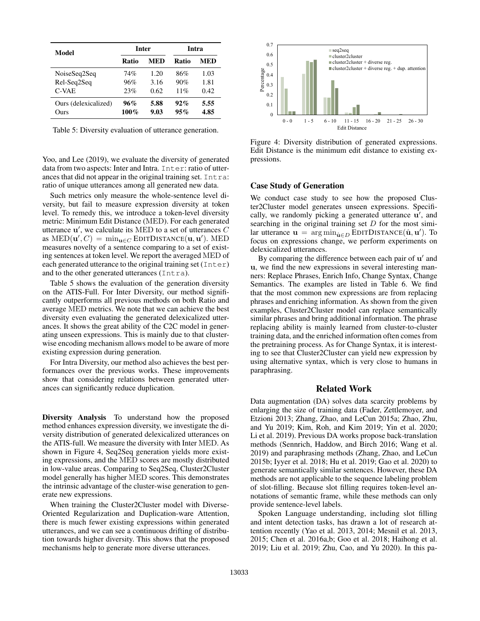| Model                        | <b>Inter</b>   |              | Intra      |              |  |
|------------------------------|----------------|--------------|------------|--------------|--|
|                              | Ratio          | MED          | Ratio      | MED          |  |
| NoiseSeq2Seq                 | 74%            | 1.20         | 86%        | 1.03         |  |
| Rel-Seq2Seq<br>$C-VAE$       | 96%<br>23%     | 3.16<br>0.62 | 90%<br>11% | 1.81<br>0.42 |  |
| Ours (delexicalized)<br>Ours | 96%<br>$100\%$ | 5.88<br>9.03 | 92%<br>95% | 5.55<br>4.85 |  |

Table 5: Diversity evaluation of utterance generation.

Yoo, and Lee (2019), we evaluate the diversity of generated data from two aspects: Inter and Intra. Inter: ratio of utterances that did not appear in the original training set. Intra: ratio of unique utterances among all generated new data.

Such metrics only measure the whole-sentence level diversity, but fail to measure expression diversity at token level. To remedy this, we introduce a token-level diversity metric: Minimum Edit Distance (MED). For each generated utterance  $\mathbf{u}'$ , we calculate its MED to a set of utterances  $C$ as  $\text{MED}(\mathbf{u}', C) = \min_{\mathbf{u} \in C} \text{EDITDISTANCE}(\mathbf{u}, \mathbf{u}'). \text{ MED}$ measures novelty of a sentence comparing to a set of existing sentences at token level. We report the averaged MED of each generated utterance to the original training set (Inter) and to the other generated utterances (Intra).

Table 5 shows the evaluation of the generation diversity on the ATIS-Full. For Inter Diversity, our method significantly outperforms all previous methods on both Ratio and average MED metrics. We note that we can achieve the best diversity even evaluating the generated delexicalized utterances. It shows the great ability of the C2C model in generating unseen expressions. This is mainly due to that clusterwise encoding mechanism allows model to be aware of more existing expression during generation.

For Intra Diversity, our method also achieves the best performances over the previous works. These improvements show that considering relations between generated utterances can significantly reduce duplication.

Diversity Analysis To understand how the proposed method enhances expression diversity, we investigate the diversity distribution of generated delexicalized utterances on the ATIS-full. We measure the diversity with Inter MED. As shown in Figure 4, Seq2Seq generation yields more existing expressions, and the MED scores are mostly distributed in low-value areas. Comparing to Seq2Seq, Cluster2Cluster model generally has higher MED scores. This demonstrates the intrinsic advantage of the cluster-wise generation to generate new expressions.

When training the Cluster2Cluster model with Diverse-Oriented Regularization and Duplication-ware Attention, there is much fewer existing expressions within generated utterances, and we can see a continuous drifting of distribution towards higher diversity. This shows that the proposed mechanisms help to generate more diverse utterances.



Figure 4: Diversity distribution of generated expressions. Edit Distance is the minimum edit distance to existing expressions.

### Case Study of Generation

We conduct case study to see how the proposed Cluster2Cluster model generates unseen expressions. Specifically, we randomly picking a generated utterance  $\mathbf{u}'$ , and searching in the original training set  $D$  for the most similar utterance  $\mathbf{u} = \arg \min_{\hat{\mathbf{u}} \in D}$  EDITDISTANCE $(\hat{\mathbf{u}}, \mathbf{u}')$ . To focus on expressions change, we perform experiments on delexicalized utterances.

By comparing the difference between each pair of u' and u, we find the new expressions in several interesting manners: Replace Phrases, Enrich Info, Change Syntax, Change Semantics. The examples are listed in Table 6. We find that the most common new expressions are from replacing phrases and enriching information. As shown from the given examples, Cluster2Cluster model can replace semantically similar phrases and bring additional information. The phrase replacing ability is mainly learned from cluster-to-cluster training data, and the enriched information often comes from the pretraining process. As for Change Syntax, it is interesting to see that Cluster2Cluster can yield new expression by using alternative syntax, which is very close to humans in paraphrasing.

#### Related Work

Data augmentation (DA) solves data scarcity problems by enlarging the size of training data (Fader, Zettlemoyer, and Etzioni 2013; Zhang, Zhao, and LeCun 2015a; Zhao, Zhu, and Yu 2019; Kim, Roh, and Kim 2019; Yin et al. 2020; Li et al. 2019). Previous DA works propose back-translation methods (Sennrich, Haddow, and Birch 2016; Wang et al. 2019) and paraphrasing methods (Zhang, Zhao, and LeCun 2015b; Iyyer et al. 2018; Hu et al. 2019; Gao et al. 2020) to generate semantically similar sentences. However, these DA methods are not applicable to the sequence labeling problem of slot-filling. Because slot filling requires token-level annotations of semantic frame, while these methods can only provide sentence-level labels.

Spoken Language understanding, including slot filling and intent detection tasks, has drawn a lot of research attention recently (Yao et al. 2013, 2014; Mesnil et al. 2013, 2015; Chen et al. 2016a,b; Goo et al. 2018; Haihong et al. 2019; Liu et al. 2019; Zhu, Cao, and Yu 2020). In this pa-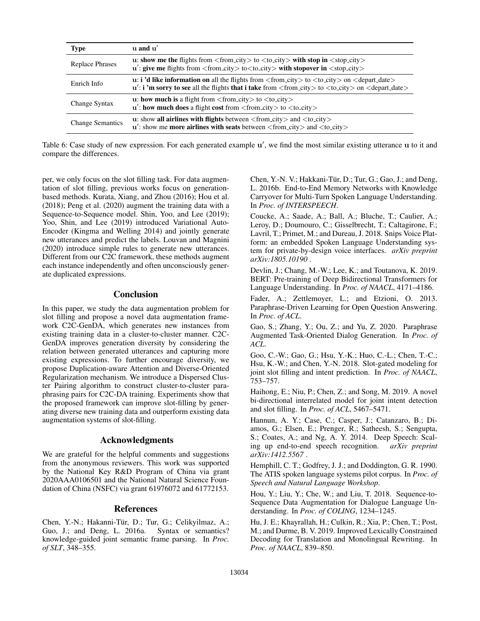| <b>Type</b>             | $\mathbf{u}$ and $\mathbf{u}'$                                                                                                                                                                                                                                                            |
|-------------------------|-------------------------------------------------------------------------------------------------------------------------------------------------------------------------------------------------------------------------------------------------------------------------------------------|
| <b>Replace Phrases</b>  | u: show me the flights from $\langle$ from $\langle$ city $\rangle$ to $\langle$ to $\langle$ city $\rangle$ with stop in $\langle$ stop city $\rangle$<br>$\mathbf{u}'$ : give me flights from <from_city> to<to_city> with stopover in <stop_city></stop_city></to_city></from_city>    |
| Enrich Info             | <b>u:</b> i 'd like information on all the flights from $\langle$ from $\langle$ city $\rangle$ to $\langle$ to $\langle$ to $\langle$ depart_date $\rangle$<br>$\mathbf{u}'$ : <b>i</b> 'm sorry to see all the flights that i take from < from city > to < to city > on < depart_date > |
| Change Syntax           | u: how much is a flight from $\langle$ from city $\rangle$ to $\langle$ to city $\rangle$<br>$\mathbf{u}'$ : how much does a flight cost from $\langle$ from $\langle$ city $\rangle$ to $\langle$ to $\langle$ to $\langle$ city $\rangle$                                               |
| <b>Change Semantics</b> | u: show all airlines with flights between $\langle$ from city $\rangle$ and $\langle$ to city $\rangle$<br>$\mathbf{u}'$ : show me <b>more airlines with seats</b> between $\langle$ from city $\rangle$ and $\langle$ to city $\rangle$                                                  |

Table 6: Case study of new expression. For each generated example u', we find the most similar existing utterance u to it and compare the differences.

per, we only focus on the slot filling task. For data augmentation of slot filling, previous works focus on generationbased methods. Kurata, Xiang, and Zhou (2016); Hou et al. (2018); Peng et al. (2020) augment the training data with a Sequence-to-Sequence model. Shin, Yoo, and Lee (2019); Yoo, Shin, and Lee (2019) introduced Variational Auto-Encoder (Kingma and Welling 2014) and jointly generate new utterances and predict the labels. Louvan and Magnini (2020) introduce simple rules to generate new utterances. Different from our C2C framework, these methods augment each instance independently and often unconsciously generate duplicated expressions.

# **Conclusion**

In this paper, we study the data augmentation problem for slot filling and propose a novel data augmentation framework C2C-GenDA, which generates new instances from existing training data in a cluster-to-cluster manner. C2C-GenDA improves generation diversity by considering the relation between generated utterances and capturing more existing expressions. To further encourage diversity, we propose Duplication-aware Attention and Diverse-Oriented Regularization mechanism. We introduce a Dispersed Cluster Pairing algorithm to construct cluster-to-cluster paraphrasing pairs for C2C-DA training. Experiments show that the proposed framework can improve slot-filling by generating diverse new training data and outperform existing data augmentation systems of slot-filling.

## Acknowledgments

We are grateful for the helpful comments and suggestions from the anonymous reviewers. This work was supported by the National Key R&D Program of China via grant 2020AAA0106501 and the National Natural Science Foundation of China (NSFC) via grant 61976072 and 61772153.

# References

Chen, Y.-N.; Hakanni-Tür, D.; Tur, G.; Celikyilmaz, A.; Guo, J.; and Deng, L. 2016a. Syntax or semantics? knowledge-guided joint semantic frame parsing. In *Proc. of SLT*, 348–355.

Chen, Y.-N. V.; Hakkani-Tür, D.; Tur, G.; Gao, J.; and Deng, L. 2016b. End-to-End Memory Networks with Knowledge Carryover for Multi-Turn Spoken Language Understanding. In *Proc. of INTERSPEECH*.

Coucke, A.; Saade, A.; Ball, A.; Bluche, T.; Caulier, A.; Leroy, D.; Doumouro, C.; Gisselbrecht, T.; Caltagirone, F.; Lavril, T.; Primet, M.; and Dureau, J. 2018. Snips Voice Platform: an embedded Spoken Language Understanding system for private-by-design voice interfaces. *arXiv preprint arXiv:1805.10190* .

Devlin, J.; Chang, M.-W.; Lee, K.; and Toutanova, K. 2019. BERT: Pre-training of Deep Bidirectional Transformers for Language Understanding. In *Proc. of NAACL*, 4171–4186.

Fader, A.; Zettlemoyer, L.; and Etzioni, O. 2013. Paraphrase-Driven Learning for Open Question Answering. In *Proc. of ACL*.

Gao, S.; Zhang, Y.; Ou, Z.; and Yu, Z. 2020. Paraphrase Augmented Task-Oriented Dialog Generation. In *Proc. of ACL*.

Goo, C.-W.; Gao, G.; Hsu, Y.-K.; Huo, C.-L.; Chen, T.-C.; Hsu, K.-W.; and Chen, Y.-N. 2018. Slot-gated modeling for joint slot filling and intent prediction. In *Proc. of NAACL*, 753–757.

Haihong, E.; Niu, P.; Chen, Z.; and Song, M. 2019. A novel bi-directional interrelated model for joint intent detection and slot filling. In *Proc. of ACL*, 5467–5471.

Hannun, A. Y.; Case, C.; Casper, J.; Catanzaro, B.; Diamos, G.; Elsen, E.; Prenger, R.; Satheesh, S.; Sengupta, S.; Coates, A.; and Ng, A. Y. 2014. Deep Speech: Scaling up end-to-end speech recognition. *arXiv preprint arXiv:1412.5567* .

Hemphill, C. T.; Godfrey, J. J.; and Doddington, G. R. 1990. The ATIS spoken language systems pilot corpus. In *Proc. of Speech and Natural Language Workshop*.

Hou, Y.; Liu, Y.; Che, W.; and Liu, T. 2018. Sequence-to-Sequence Data Augmentation for Dialogue Language Understanding. In *Proc. of COLING*, 1234–1245.

Hu, J. E.; Khayrallah, H.; Culkin, R.; Xia, P.; Chen, T.; Post, M.; and Durme, B. V. 2019. Improved Lexically Constrained Decoding for Translation and Monolingual Rewriting. In *Proc. of NAACL*, 839–850.